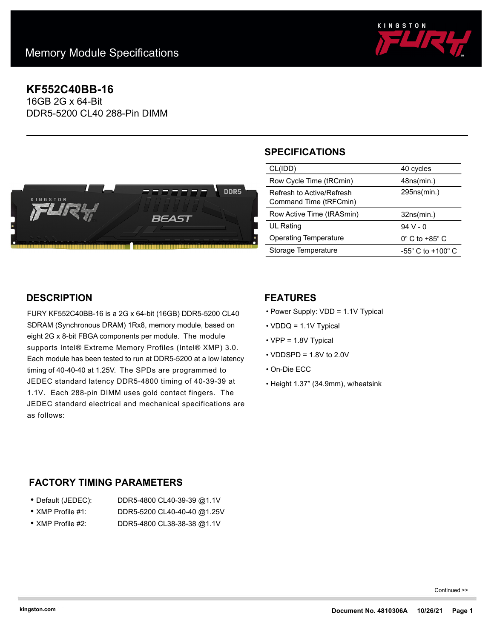

# **KF552C40BB-16**

16GB 2G x 64-Bit DDR5-5200 CL40 288-Pin DIMM



# **SPECIFICATIONS**

| CL(IDD)                                             | 40 cycles                             |
|-----------------------------------------------------|---------------------------------------|
| Row Cycle Time (tRCmin)                             | 48ns(min.)                            |
| Refresh to Active/Refresh<br>Command Time (tRFCmin) | 295ns(min.)                           |
| Row Active Time (tRASmin)                           | 32ns(min.)                            |
| UL Rating                                           | $94V - 0$                             |
| <b>Operating Temperature</b>                        | $0^\circ$ C to +85 $^\circ$ C         |
| Storage Temperature                                 | -55 $^{\circ}$ C to +100 $^{\circ}$ C |

# **DESCRIPTION**

FURY KF552C40BB-16 is a 2G x 64-bit (16GB) DDR5-5200 CL40 SDRAM (Synchronous DRAM) 1Rx8, memory module, based on eight 2G x 8-bit FBGA components per module. The module supports Intel® Extreme Memory Profiles (Intel® XMP) 3.0. Each module has been tested to run at DDR5-5200 at a low latency timing of 40-40-40 at 1.25V. The SPDs are programmed to JEDEC standard latency DDR5-4800 timing of 40-39-39 at 1.1V. Each 288-pin DIMM uses gold contact fingers. The JEDEC standard electrical and mechanical specifications are as follows:

### **FEATURES**

- Power Supply: VDD = 1.1V Typical
- VDDQ = 1.1V Typical
- VPP = 1.8V Typical
- $\cdot$  VDDSPD = 1.8V to 2.0V
- On-Die ECC
- Height 1.37" (34.9mm), w/heatsink

# **FACTORY TIMING PARAMETERS**

| ● Default (JEDEC):        | DDR5-4800 CL40-39-39 @1.1V  |
|---------------------------|-----------------------------|
| $\bullet$ XMP Profile #1: | DDR5-5200 CL40-40-40 @1.25V |

• XMP Profile #2: DDR5-4800 CL38-38-38 @1.1V

Continued >>